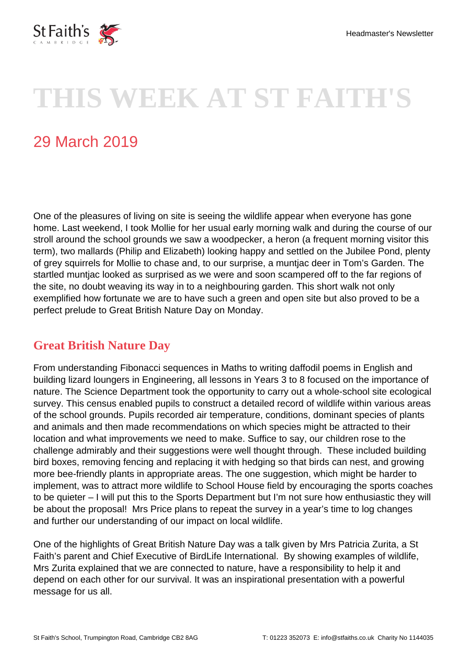

# **THIS WEEK AT ST FAITH'S**

## 29 March 2019

One of the pleasures of living on site is seeing the wildlife appear when everyone has gone home. Last weekend, I took Mollie for her usual early morning walk and during the course of our stroll around the school grounds we saw a woodpecker, a heron (a frequent morning visitor this term), two mallards (Philip and Elizabeth) looking happy and settled on the Jubilee Pond, plenty of grey squirrels for Mollie to chase and, to our surprise, a muntjac deer in Tom's Garden. The startled muntjac looked as surprised as we were and soon scampered off to the far regions of the site, no doubt weaving its way in to a neighbouring garden. This short walk not only exemplified how fortunate we are to have such a green and open site but also proved to be a perfect prelude to Great British Nature Day on Monday.

#### **Great British Nature Day**

From understanding Fibonacci sequences in Maths to writing daffodil poems in English and building lizard loungers in Engineering, all lessons in Years 3 to 8 focused on the importance of nature. The Science Department took the opportunity to carry out a whole-school site ecological survey. This census enabled pupils to construct a detailed record of wildlife within various areas of the school grounds. Pupils recorded air temperature, conditions, dominant species of plants and animals and then made recommendations on which species might be attracted to their location and what improvements we need to make. Suffice to say, our children rose to the challenge admirably and their suggestions were well thought through. These included building bird boxes, removing fencing and replacing it with hedging so that birds can nest, and growing more bee-friendly plants in appropriate areas. The one suggestion, which might be harder to implement, was to attract more wildlife to School House field by encouraging the sports coaches to be quieter – I will put this to the Sports Department but I'm not sure how enthusiastic they will be about the proposal! Mrs Price plans to repeat the survey in a year's time to log changes and further our understanding of our impact on local wildlife.

One of the highlights of Great British Nature Day was a talk given by Mrs Patricia Zurita, a St Faith's parent and Chief Executive of BirdLife International. By showing examples of wildlife, Mrs Zurita explained that we are connected to nature, have a responsibility to help it and depend on each other for our survival. It was an inspirational presentation with a powerful message for us all.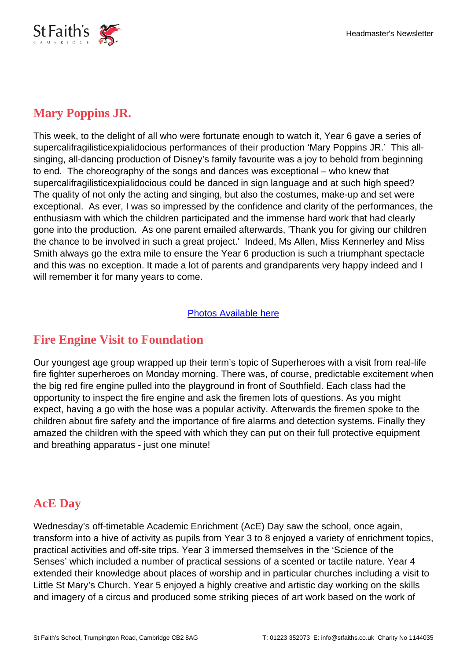

#### **Mary Poppins JR.**

This week, to the delight of all who were fortunate enough to watch it, Year 6 gave a series of supercalifragilisticexpialidocious performances of their production 'Mary Poppins JR.' This allsinging, all-dancing production of Disney's family favourite was a joy to behold from beginning to end. The choreography of the songs and dances was exceptional – who knew that supercalifragilisticexpialidocious could be danced in sign language and at such high speed? The quality of not only the acting and singing, but also the costumes, make-up and set were exceptional. As ever, I was so impressed by the confidence and clarity of the performances, the enthusiasm with which the children participated and the immense hard work that had clearly gone into the production. As one parent emailed afterwards, 'Thank you for giving our children the chance to be involved in such a great project.' Indeed, Ms Allen, Miss Kennerley and Miss Smith always go the extra mile to ensure the Year 6 production is such a triumphant spectacle and this was no exception. It made a lot of parents and grandparents very happy indeed and I will remember it for many years to come.

#### [Photos Available here](https://i.stfaiths.co.uk/media/year-6-performance---mary-j-poppins---2019)

#### **Fire Engine Visit to Foundation**

Our youngest age group wrapped up their term's topic of Superheroes with a visit from real-life fire fighter superheroes on Monday morning. There was, of course, predictable excitement when the big red fire engine pulled into the playground in front of Southfield. Each class had the opportunity to inspect the fire engine and ask the firemen lots of questions. As you might expect, having a go with the hose was a popular activity. Afterwards the firemen spoke to the children about fire safety and the importance of fire alarms and detection systems. Finally they amazed the children with the speed with which they can put on their full protective equipment and breathing apparatus - just one minute!

#### **AcE Day**

Wednesday's off-timetable Academic Enrichment (AcE) Day saw the school, once again, transform into a hive of activity as pupils from Year 3 to 8 enjoyed a variety of enrichment topics, practical activities and off-site trips. Year 3 immersed themselves in the 'Science of the Senses' which included a number of practical sessions of a scented or tactile nature. Year 4 extended their knowledge about places of worship and in particular churches including a visit to Little St Mary's Church. Year 5 enjoyed a highly creative and artistic day working on the skills and imagery of a circus and produced some striking pieces of art work based on the work of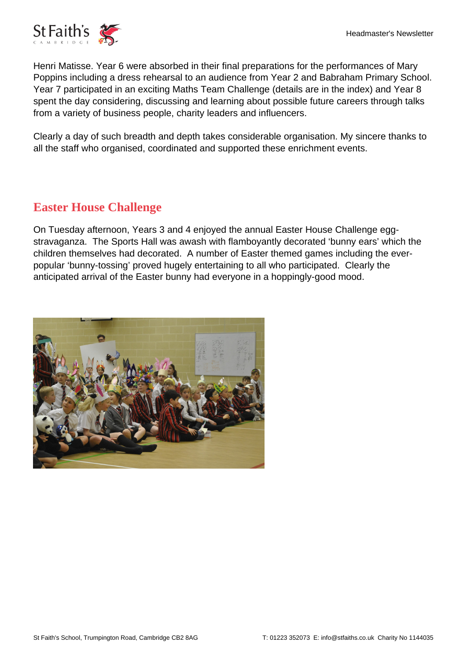

Henri Matisse. Year 6 were absorbed in their final preparations for the performances of Mary Poppins including a dress rehearsal to an audience from Year 2 and Babraham Primary School. Year 7 participated in an exciting Maths Team Challenge (details are in the index) and Year 8 spent the day considering, discussing and learning about possible future careers through talks from a variety of business people, charity leaders and influencers.

Clearly a day of such breadth and depth takes considerable organisation. My sincere thanks to all the staff who organised, coordinated and supported these enrichment events.

### **Easter House Challenge**

On Tuesday afternoon, Years 3 and 4 enjoyed the annual Easter House Challenge eggstravaganza. The Sports Hall was awash with flamboyantly decorated 'bunny ears' which the children themselves had decorated. A number of Easter themed games including the everpopular 'bunny-tossing' proved hugely entertaining to all who participated. Clearly the anticipated arrival of the Easter bunny had everyone in a hoppingly-good mood.

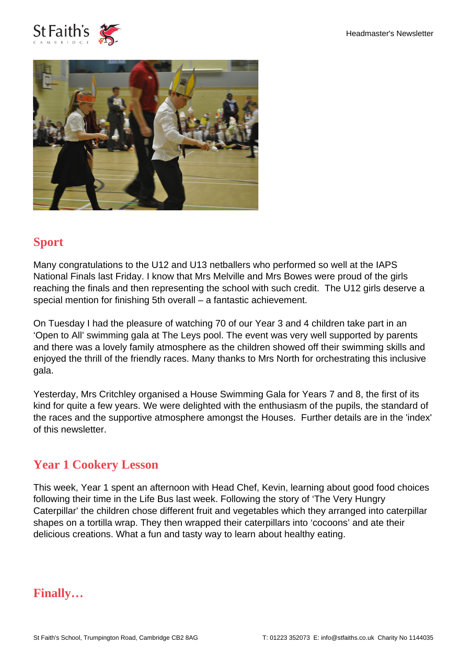



### **Sport**

Many congratulations to the U12 and U13 netballers who performed so well at the IAPS National Finals last Friday. I know that Mrs Melville and Mrs Bowes were proud of the girls reaching the finals and then representing the school with such credit. The U12 girls deserve a special mention for finishing 5th overall – a fantastic achievement.

On Tuesday I had the pleasure of watching 70 of our Year 3 and 4 children take part in an 'Open to All' swimming gala at The Leys pool. The event was very well supported by parents and there was a lovely family atmosphere as the children showed off their swimming skills and enjoyed the thrill of the friendly races. Many thanks to Mrs North for orchestrating this inclusive gala.

Yesterday, Mrs Critchley organised a House Swimming Gala for Years 7 and 8, the first of its kind for quite a few years. We were delighted with the enthusiasm of the pupils, the standard of the races and the supportive atmosphere amongst the Houses. Further details are in the 'index' of this newsletter.

#### **Year 1 Cookery Lesson**

This week, Year 1 spent an afternoon with Head Chef, Kevin, learning about good food choices following their time in the Life Bus last week. Following the story of 'The Very Hungry Caterpillar' the children chose different fruit and vegetables which they arranged into caterpillar shapes on a tortilla wrap. They then wrapped their caterpillars into 'cocoons' and ate their delicious creations. What a fun and tasty way to learn about healthy eating.

**Finally…**